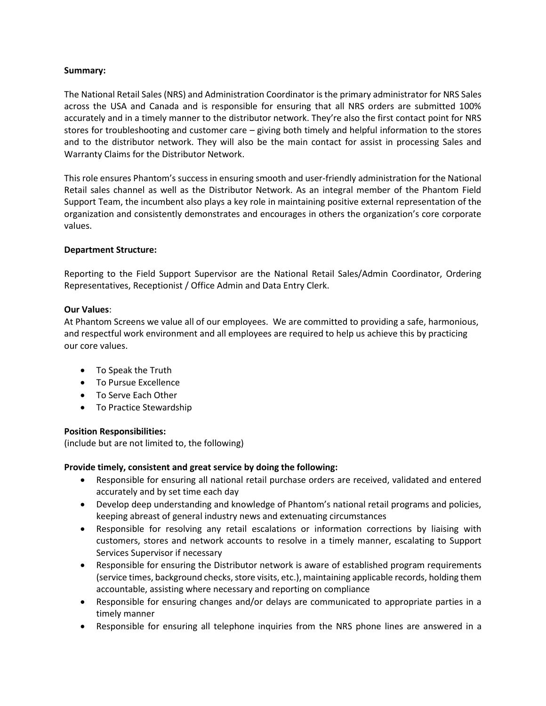## **Summary:**

The National Retail Sales (NRS) and Administration Coordinator is the primary administrator for NRS Sales across the USA and Canada and is responsible for ensuring that all NRS orders are submitted 100% accurately and in a timely manner to the distributor network. They're also the first contact point for NRS stores for troubleshooting and customer care – giving both timely and helpful information to the stores and to the distributor network. They will also be the main contact for assist in processing Sales and Warranty Claims for the Distributor Network.

This role ensures Phantom's success in ensuring smooth and user-friendly administration for the National Retail sales channel as well as the Distributor Network. As an integral member of the Phantom Field Support Team, the incumbent also plays a key role in maintaining positive external representation of the organization and consistently demonstrates and encourages in others the organization's core corporate values.

### **Department Structure:**

Reporting to the Field Support Supervisor are the National Retail Sales/Admin Coordinator, Ordering Representatives, Receptionist / Office Admin and Data Entry Clerk.

### **Our Values**:

At Phantom Screens we value all of our employees. We are committed to providing a safe, harmonious, and respectful work environment and all employees are required to help us achieve this by practicing our core values.

- To Speak the Truth
- To Pursue Excellence
- To Serve Each Other
- To Practice Stewardship

## **Position Responsibilities:**

(include but are not limited to, the following)

## **Provide timely, consistent and great service by doing the following:**

- Responsible for ensuring all national retail purchase orders are received, validated and entered accurately and by set time each day
- Develop deep understanding and knowledge of Phantom's national retail programs and policies, keeping abreast of general industry news and extenuating circumstances
- Responsible for resolving any retail escalations or information corrections by liaising with customers, stores and network accounts to resolve in a timely manner, escalating to Support Services Supervisor if necessary
- Responsible for ensuring the Distributor network is aware of established program requirements (service times, background checks, store visits, etc.), maintaining applicable records, holding them accountable, assisting where necessary and reporting on compliance
- Responsible for ensuring changes and/or delays are communicated to appropriate parties in a timely manner
- Responsible for ensuring all telephone inquiries from the NRS phone lines are answered in a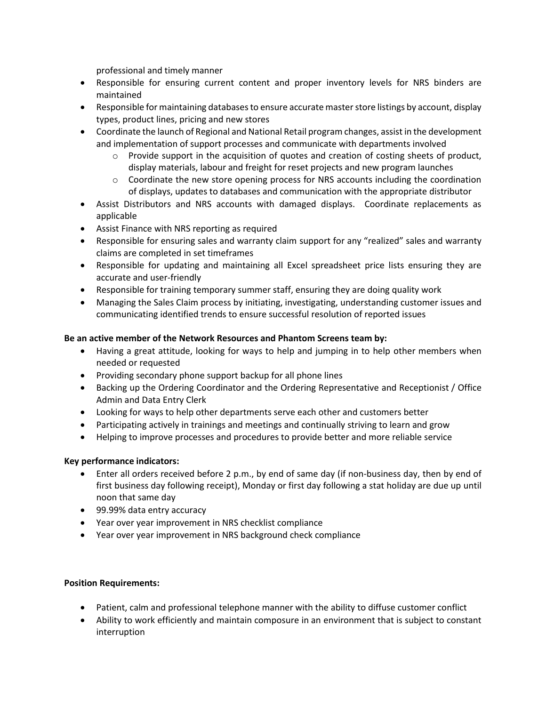professional and timely manner

- Responsible for ensuring current content and proper inventory levels for NRS binders are maintained
- Responsible for maintaining databases to ensure accurate master store listings by account, display types, product lines, pricing and new stores
- Coordinate the launch of Regional and National Retail program changes, assist in the development and implementation of support processes and communicate with departments involved
	- $\circ$  Provide support in the acquisition of quotes and creation of costing sheets of product, display materials, labour and freight for reset projects and new program launches
	- $\circ$  Coordinate the new store opening process for NRS accounts including the coordination of displays, updates to databases and communication with the appropriate distributor
- Assist Distributors and NRS accounts with damaged displays. Coordinate replacements as applicable
- Assist Finance with NRS reporting as required
- Responsible for ensuring sales and warranty claim support for any "realized" sales and warranty claims are completed in set timeframes
- Responsible for updating and maintaining all Excel spreadsheet price lists ensuring they are accurate and user-friendly
- Responsible for training temporary summer staff, ensuring they are doing quality work
- Managing the Sales Claim process by initiating, investigating, understanding customer issues and communicating identified trends to ensure successful resolution of reported issues

# **Be an active member of the Network Resources and Phantom Screens team by:**

- Having a great attitude, looking for ways to help and jumping in to help other members when needed or requested
- Providing secondary phone support backup for all phone lines
- Backing up the Ordering Coordinator and the Ordering Representative and Receptionist / Office Admin and Data Entry Clerk
- Looking for ways to help other departments serve each other and customers better
- Participating actively in trainings and meetings and continually striving to learn and grow
- Helping to improve processes and procedures to provide better and more reliable service

# **Key performance indicators:**

- Enter all orders received before 2 p.m., by end of same day (if non-business day, then by end of first business day following receipt), Monday or first day following a stat holiday are due up until noon that same day
- 99.99% data entry accuracy
- Year over year improvement in NRS checklist compliance
- Year over year improvement in NRS background check compliance

# **Position Requirements:**

- Patient, calm and professional telephone manner with the ability to diffuse customer conflict
- Ability to work efficiently and maintain composure in an environment that is subject to constant interruption